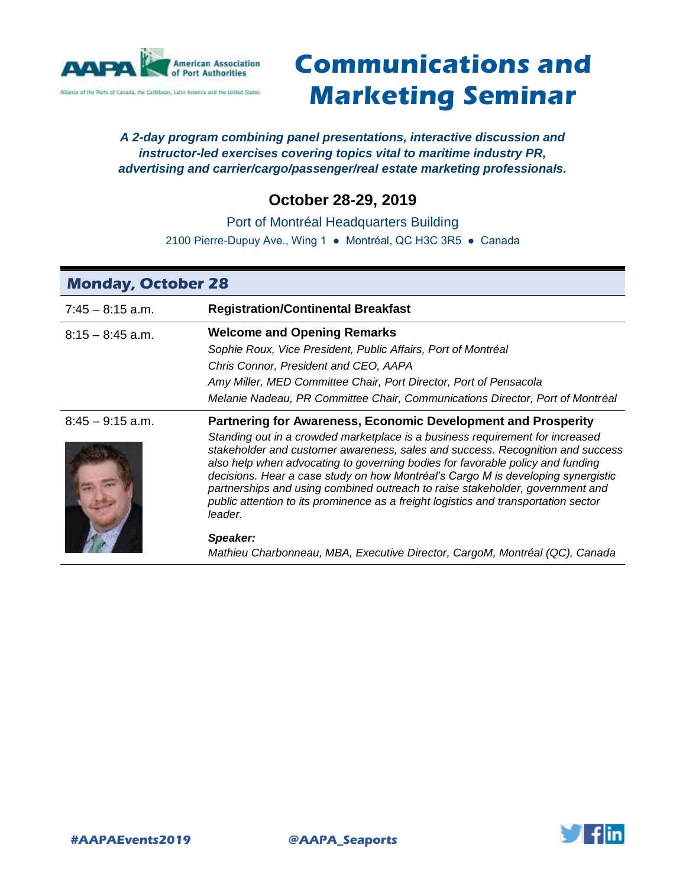

# **Communications and Marketing Seminar**

### *A 2-day program combining panel presentations, interactive discussion and instructor-led exercises covering topics vital to maritime industry PR, advertising and carrier/cargo/passenger/real estate marketing professionals.*

# **October 28-29, 2019**

Port of Montréal Headquarters Building

2100 Pierre-Dupuy Ave., Wing 1 ● Montréal, QC H3C 3R5 ● Canada

| <b>Monday, October 28</b> |                                                                                                                                                                                                                                                                                                                                                                                                                                                                                                                                                                                                  |  |
|---------------------------|--------------------------------------------------------------------------------------------------------------------------------------------------------------------------------------------------------------------------------------------------------------------------------------------------------------------------------------------------------------------------------------------------------------------------------------------------------------------------------------------------------------------------------------------------------------------------------------------------|--|
| $7:45 - 8:15$ a.m.        | <b>Registration/Continental Breakfast</b>                                                                                                                                                                                                                                                                                                                                                                                                                                                                                                                                                        |  |
| $8:15 - 8:45$ a.m.        | <b>Welcome and Opening Remarks</b><br>Sophie Roux, Vice President, Public Affairs, Port of Montréal<br>Chris Connor, President and CEO, AAPA<br>Amy Miller, MED Committee Chair, Port Director, Port of Pensacola<br>Melanie Nadeau, PR Committee Chair, Communications Director, Port of Montréal                                                                                                                                                                                                                                                                                               |  |
| $8:45 - 9:15$ a.m.        | <b>Partnering for Awareness, Economic Development and Prosperity</b><br>Standing out in a crowded marketplace is a business requirement for increased<br>stakeholder and customer awareness, sales and success. Recognition and success<br>also help when advocating to governing bodies for favorable policy and funding<br>decisions. Hear a case study on how Montréal's Cargo M is developing synergistic<br>partnerships and using combined outreach to raise stakeholder, government and<br>public attention to its prominence as a freight logistics and transportation sector<br>leader. |  |
|                           | Speaker:<br>Mathieu Charbonneau, MBA, Executive Director, CargoM, Montréal (QC), Canada                                                                                                                                                                                                                                                                                                                                                                                                                                                                                                          |  |

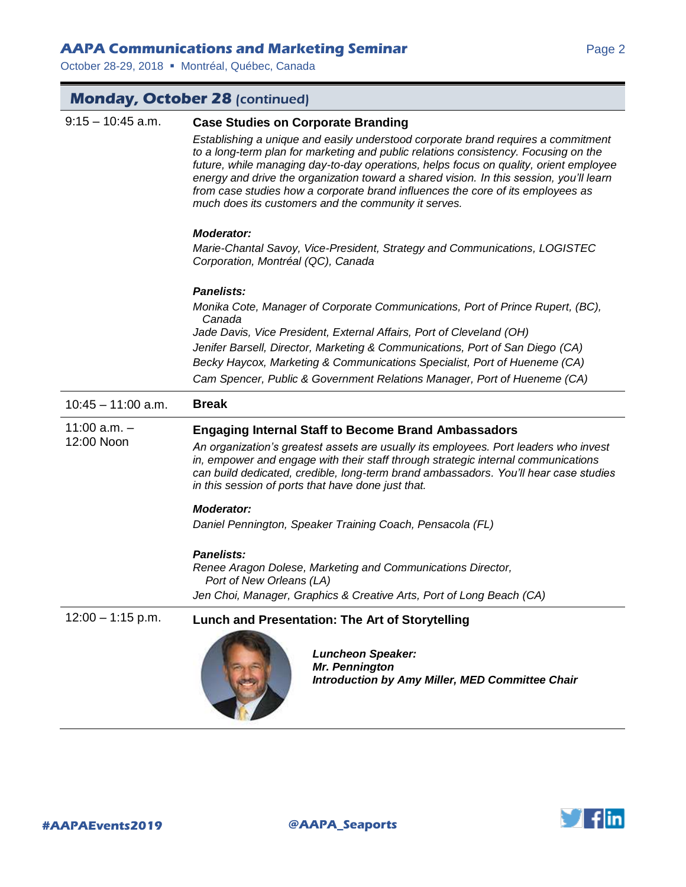# **AAPA Communications and Marketing Seminar** *Page 2* **Page 2**

October 28-29, 2018 · Montréal, Québec, Canada

| <b>Monday, October 28 (continued)</b> |                                                                                                                                                                                                                                                                                                                                                                                                                                                                                                                                                      |  |
|---------------------------------------|------------------------------------------------------------------------------------------------------------------------------------------------------------------------------------------------------------------------------------------------------------------------------------------------------------------------------------------------------------------------------------------------------------------------------------------------------------------------------------------------------------------------------------------------------|--|
| $9:15 - 10:45$ a.m.                   | <b>Case Studies on Corporate Branding</b><br>Establishing a unique and easily understood corporate brand requires a commitment<br>to a long-term plan for marketing and public relations consistency. Focusing on the<br>future, while managing day-to-day operations, helps focus on quality, orient employee<br>energy and drive the organization toward a shared vision. In this session, you'll learn<br>from case studies how a corporate brand influences the core of its employees as<br>much does its customers and the community it serves. |  |
|                                       | <b>Moderator:</b><br>Marie-Chantal Savoy, Vice-President, Strategy and Communications, LOGISTEC<br>Corporation, Montréal (QC), Canada                                                                                                                                                                                                                                                                                                                                                                                                                |  |
|                                       | <b>Panelists:</b><br>Monika Cote, Manager of Corporate Communications, Port of Prince Rupert, (BC),<br>Canada<br>Jade Davis, Vice President, External Affairs, Port of Cleveland (OH)<br>Jenifer Barsell, Director, Marketing & Communications, Port of San Diego (CA)<br>Becky Haycox, Marketing & Communications Specialist, Port of Hueneme (CA)<br>Cam Spencer, Public & Government Relations Manager, Port of Hueneme (CA)                                                                                                                      |  |
| $10:45 - 11:00$ a.m.                  | <b>Break</b>                                                                                                                                                                                                                                                                                                                                                                                                                                                                                                                                         |  |
| $11:00$ a.m. $-$<br>12:00 Noon        | <b>Engaging Internal Staff to Become Brand Ambassadors</b><br>An organization's greatest assets are usually its employees. Port leaders who invest<br>in, empower and engage with their staff through strategic internal communications<br>can build dedicated, credible, long-term brand ambassadors. You'll hear case studies<br>in this session of ports that have done just that.<br><b>Moderator:</b><br>Daniel Pennington, Speaker Training Coach, Pensacola (FL)                                                                              |  |
|                                       | <b>Panelists:</b><br>Renee Aragon Dolese, Marketing and Communications Director,<br>Port of New Orleans (LA)<br>Jen Choi, Manager, Graphics & Creative Arts, Port of Long Beach (CA)                                                                                                                                                                                                                                                                                                                                                                 |  |
| $12:00 - 1:15$ p.m.                   | Lunch and Presentation: The Art of Storytelling<br><b>Luncheon Speaker:</b><br>Mr. Pennington<br>Introduction by Amy Miller, MED Committee Chair                                                                                                                                                                                                                                                                                                                                                                                                     |  |
|                                       |                                                                                                                                                                                                                                                                                                                                                                                                                                                                                                                                                      |  |

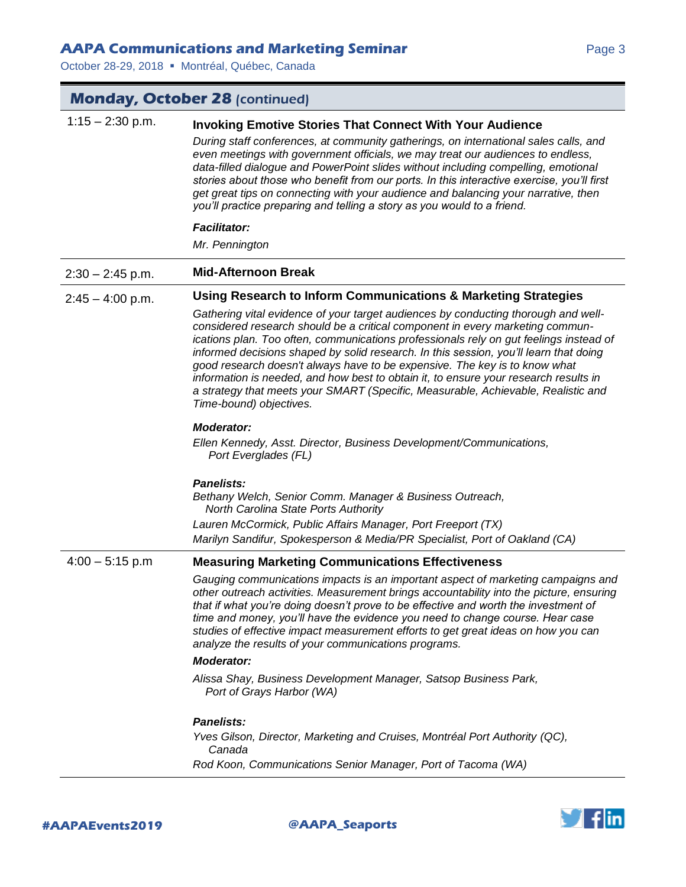# **AAPA Communications and Marketing Seminar** *Page 3* **Page 3**

October 28-29, 2018 · Montréal, Québec, Canada

| <b>Monday, October 28 (continued)</b> |                                                                                                                                                                                                                                                                                                                                                                                                                                                                                                                                                                                                                                              |  |
|---------------------------------------|----------------------------------------------------------------------------------------------------------------------------------------------------------------------------------------------------------------------------------------------------------------------------------------------------------------------------------------------------------------------------------------------------------------------------------------------------------------------------------------------------------------------------------------------------------------------------------------------------------------------------------------------|--|
| $1:15 - 2:30$ p.m.                    | <b>Invoking Emotive Stories That Connect With Your Audience</b><br>During staff conferences, at community gatherings, on international sales calls, and<br>even meetings with government officials, we may treat our audiences to endless,<br>data-filled dialogue and PowerPoint slides without including compelling, emotional<br>stories about those who benefit from our ports. In this interactive exercise, you'll first<br>get great tips on connecting with your audience and balancing your narrative, then<br>you'll practice preparing and telling a story as you would to a friend.                                              |  |
|                                       | <b>Facilitator:</b><br>Mr. Pennington                                                                                                                                                                                                                                                                                                                                                                                                                                                                                                                                                                                                        |  |
| $2:30 - 2:45$ p.m.                    | <b>Mid-Afternoon Break</b>                                                                                                                                                                                                                                                                                                                                                                                                                                                                                                                                                                                                                   |  |
| $2:45 - 4:00$ p.m.                    | Using Research to Inform Communications & Marketing Strategies                                                                                                                                                                                                                                                                                                                                                                                                                                                                                                                                                                               |  |
|                                       | Gathering vital evidence of your target audiences by conducting thorough and well-<br>considered research should be a critical component in every marketing commun-<br>ications plan. Too often, communications professionals rely on gut feelings instead of<br>informed decisions shaped by solid research. In this session, you'll learn that doing<br>good research doesn't always have to be expensive. The key is to know what<br>information is needed, and how best to obtain it, to ensure your research results in<br>a strategy that meets your SMART (Specific, Measurable, Achievable, Realistic and<br>Time-bound) objectives. |  |
|                                       | <b>Moderator:</b><br>Ellen Kennedy, Asst. Director, Business Development/Communications,<br>Port Everglades (FL)                                                                                                                                                                                                                                                                                                                                                                                                                                                                                                                             |  |
|                                       | Panelists:<br>Bethany Welch, Senior Comm. Manager & Business Outreach,<br><b>North Carolina State Ports Authority</b><br>Lauren McCormick, Public Affairs Manager, Port Freeport (TX)<br>Marilyn Sandifur, Spokesperson & Media/PR Specialist, Port of Oakland (CA)                                                                                                                                                                                                                                                                                                                                                                          |  |
| $4:00 - 5:15$ p.m                     | <b>Measuring Marketing Communications Effectiveness</b>                                                                                                                                                                                                                                                                                                                                                                                                                                                                                                                                                                                      |  |
|                                       | Gauging communications impacts is an important aspect of marketing campaigns and<br>other outreach activities. Measurement brings accountability into the picture, ensuring<br>that if what you're doing doesn't prove to be effective and worth the investment of<br>time and money, you'll have the evidence you need to change course. Hear case<br>studies of effective impact measurement efforts to get great ideas on how you can<br>analyze the results of your communications programs.                                                                                                                                             |  |
|                                       | <b>Moderator:</b>                                                                                                                                                                                                                                                                                                                                                                                                                                                                                                                                                                                                                            |  |
|                                       | Alissa Shay, Business Development Manager, Satsop Business Park,<br>Port of Grays Harbor (WA)                                                                                                                                                                                                                                                                                                                                                                                                                                                                                                                                                |  |
|                                       | <b>Panelists:</b>                                                                                                                                                                                                                                                                                                                                                                                                                                                                                                                                                                                                                            |  |
|                                       | Yves Gilson, Director, Marketing and Cruises, Montréal Port Authority (QC),<br>Canada                                                                                                                                                                                                                                                                                                                                                                                                                                                                                                                                                        |  |
|                                       | Rod Koon, Communications Senior Manager, Port of Tacoma (WA)                                                                                                                                                                                                                                                                                                                                                                                                                                                                                                                                                                                 |  |

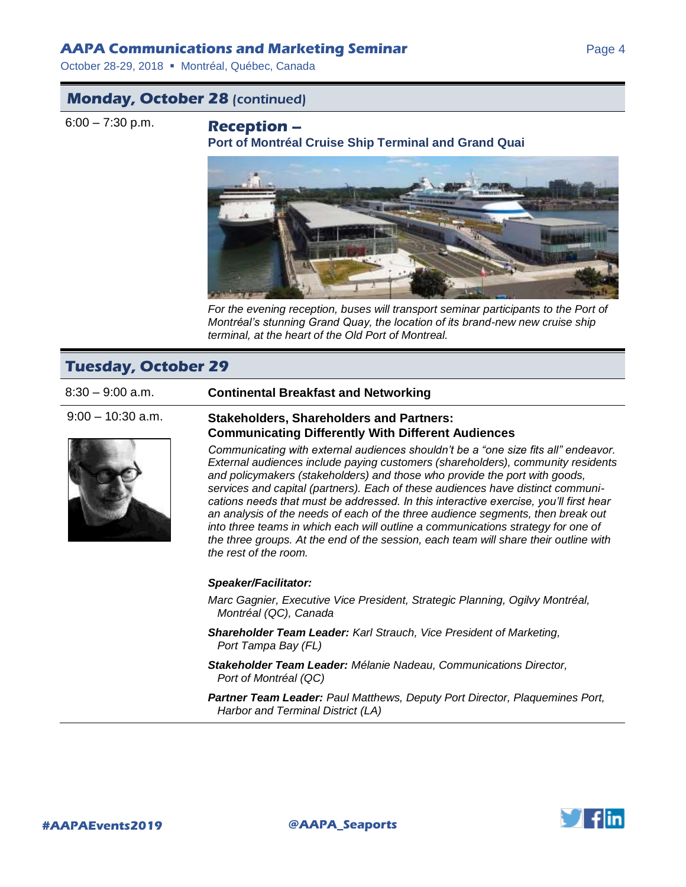### **AAPA Communications and Marketing Seminar** *Page 4* **Page 4**

October 28-29, 2018 · Montréal, Québec, Canada

# **Monday, October 28** (continued)

6:00 – 7:30 p.m. **Reception** –

**Port of Montréal Cruise Ship Terminal and Grand Quai**



For the evening reception, buses will transport seminar participants to the Port of *Montréal's stunning Grand Quay, the location of its brand-new new cruise ship terminal, at the heart of the Old Port of Montreal.*

# **Tuesday, October 29**



### 8:30 – 9:00 a.m. **Continental Breakfast and Networking**

### 9:00 – 10:30 a.m. **Stakeholders, Shareholders and Partners: Communicating Differently With Different Audiences**

*Communicating with external audiences shouldn't be a "one size fits all" endeavor. External audiences include paying customers (shareholders), community residents and policymakers (stakeholders) and those who provide the port with goods, services and capital (partners). Each of these audiences have distinct communications needs that must be addressed. In this interactive exercise, you'll first hear an analysis of the needs of each of the three audience segments, then break out into three teams in which each will outline a communications strategy for one of the three groups. At the end of the session, each team will share their outline with the rest of the room.* 

### *Speaker/Facilitator:*

*Marc Gagnier, Executive Vice President, Strategic Planning, Ogilvy Montréal, Montréal (QC), Canada*

*Shareholder Team Leader: Karl Strauch, Vice President of Marketing, Port Tampa Bay (FL)*

*Stakeholder Team Leader: Mélanie Nadeau, Communications Director, Port of Montréal (QC)*

*Partner Team Leader: Paul Matthews, Deputy Port Director, Plaquemines Port, Harbor and Terminal District (LA)*